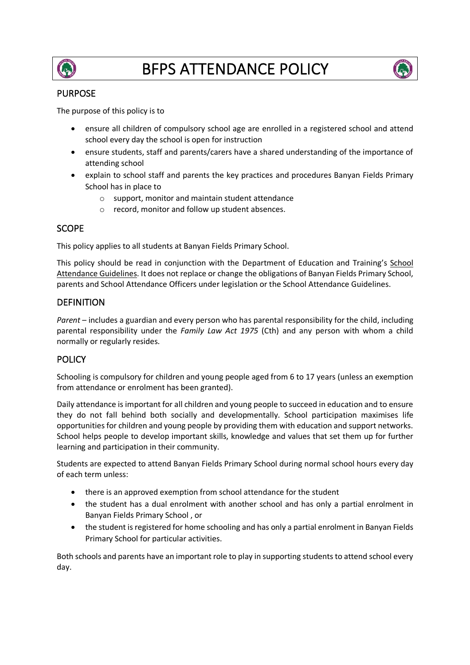



## PURPOSE

The purpose of this policy is to

- ensure all children of compulsory school age are enrolled in a registered school and attend school every day the school is open for instruction
- ensure students, staff and parents/carers have a shared understanding of the importance of attending school
- explain to school staff and parents the key practices and procedures Banyan Fields Primary School has in place to
	- o support, monitor and maintain student attendance
	- o record, monitor and follow up student absences.

# **SCOPE**

This policy applies to all students at Banyan Fields Primary School.

This policy should be read in conjunction with the Department of Education and Training's School Attendance Guidelines. It does not replace or change the obligations of Banyan Fields Primary School, parents and School Attendance Officers under legislation or the School Attendance Guidelines.

# **DEFINITION**

Parent – includes a guardian and every person who has parental responsibility for the child, including parental responsibility under the *Family Law Act 1975* (Cth) and any person with whom a child normally or regularly resides.

# **POLICY**

Schooling is compulsory for children and young people aged from 6 to 17 years (unless an exemption from attendance or enrolment has been granted).

Daily attendance is important for all children and young people to succeed in education and to ensure they do not fall behind both socially and developmentally. School participation maximises life opportunities for children and young people by providing them with education and support networks. School helps people to develop important skills, knowledge and values that set them up for further learning and participation in their community.

Students are expected to attend Banyan Fields Primary School during normal school hours every day of each term unless:

- there is an approved exemption from school attendance for the student
- the student has a dual enrolment with another school and has only a partial enrolment in Banyan Fields Primary School , or
- the student is registered for home schooling and has only a partial enrolment in Banyan Fields Primary School for particular activities.

Both schools and parents have an important role to play in supporting students to attend school every day.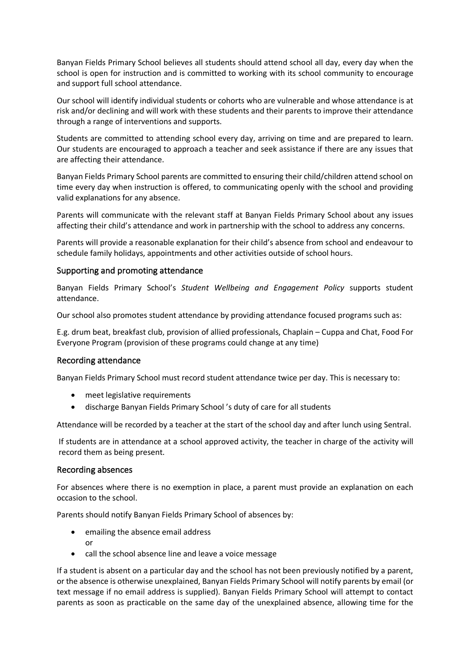Banyan Fields Primary School believes all students should attend school all day, every day when the school is open for instruction and is committed to working with its school community to encourage and support full school attendance.

Our school will identify individual students or cohorts who are vulnerable and whose attendance is at risk and/or declining and will work with these students and their parents to improve their attendance through a range of interventions and supports.

Students are committed to attending school every day, arriving on time and are prepared to learn. Our students are encouraged to approach a teacher and seek assistance if there are any issues that are affecting their attendance.

Banyan Fields Primary School parents are committed to ensuring their child/children attend school on time every day when instruction is offered, to communicating openly with the school and providing valid explanations for any absence.

Parents will communicate with the relevant staff at Banyan Fields Primary School about any issues affecting their child's attendance and work in partnership with the school to address any concerns.

Parents will provide a reasonable explanation for their child's absence from school and endeavour to schedule family holidays, appointments and other activities outside of school hours.

#### Supporting and promoting attendance

Banyan Fields Primary School's *Student Wellbeing and Engagement Policy* supports student attendance.

Our school also promotes student attendance by providing attendance focused programs such as:

E.g. drum beat, breakfast club, provision of allied professionals, Chaplain – Cuppa and Chat, Food For Everyone Program (provision of these programs could change at any time)

#### Recording attendance

Banyan Fields Primary School must record student attendance twice per day. This is necessary to:

- meet legislative requirements
- discharge Banyan Fields Primary School 's duty of care for all students

Attendance will be recorded by a teacher at the start of the school day and after lunch using Sentral.

If students are in attendance at a school approved activity, the teacher in charge of the activity will record them as being present.

#### Recording absences

For absences where there is no exemption in place, a parent must provide an explanation on each occasion to the school.

Parents should notify Banyan Fields Primary School of absences by:

- emailing the absence email address or
- call the school absence line and leave a voice message

If a student is absent on a particular day and the school has not been previously notified by a parent, or the absence is otherwise unexplained, Banyan Fields Primary School will notify parents by email (or text message if no email address is supplied). Banyan Fields Primary School will attempt to contact parents as soon as practicable on the same day of the unexplained absence, allowing time for the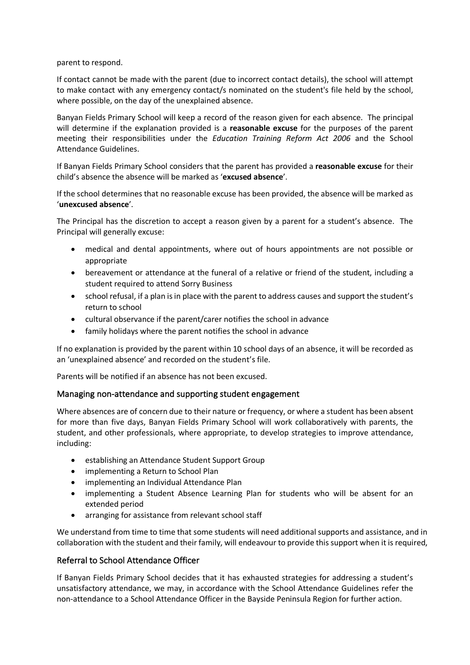parent to respond.

If contact cannot be made with the parent (due to incorrect contact details), the school will attempt to make contact with any emergency contact/s nominated on the student's file held by the school, where possible, on the day of the unexplained absence.

Banyan Fields Primary School will keep a record of the reason given for each absence. The principal will determine if the explanation provided is a **reasonable excuse** for the purposes of the parent meeting their responsibilities under the *Education Training Reform Act 2006* and the School Attendance Guidelines.

If Banyan Fields Primary School considers that the parent has provided a **reasonable excuse** for their child's absence the absence will be marked as '**excused absence**'.

If the school determines that no reasonable excuse has been provided, the absence will be marked as '**unexcused absence**'.

The Principal has the discretion to accept a reason given by a parent for a student's absence. The Principal will generally excuse:

- medical and dental appointments, where out of hours appointments are not possible or appropriate
- bereavement or attendance at the funeral of a relative or friend of the student, including a student required to attend Sorry Business
- school refusal, if a plan is in place with the parent to address causes and support the student's return to school
- cultural observance if the parent/carer notifies the school in advance
- family holidays where the parent notifies the school in advance

If no explanation is provided by the parent within 10 school days of an absence, it will be recorded as an 'unexplained absence' and recorded on the student's file.

Parents will be notified if an absence has not been excused.

### Managing non-attendance and supporting student engagement

Where absences are of concern due to their nature or frequency, or where a student has been absent for more than five days, Banyan Fields Primary School will work collaboratively with parents, the student, and other professionals, where appropriate, to develop strategies to improve attendance, including:

- establishing an Attendance Student Support Group
- implementing a Return to School Plan
- implementing an Individual Attendance Plan
- implementing a Student Absence Learning Plan for students who will be absent for an extended period
- arranging for assistance from relevant school staff

We understand from time to time that some students will need additional supports and assistance, and in collaboration with the student and their family, will endeavour to provide this support when it is required,

### Referral to School Attendance Officer

If Banyan Fields Primary School decides that it has exhausted strategies for addressing a student's unsatisfactory attendance, we may, in accordance with the School Attendance Guidelines refer the non-attendance to a School Attendance Officer in the Bayside Peninsula Region for further action.